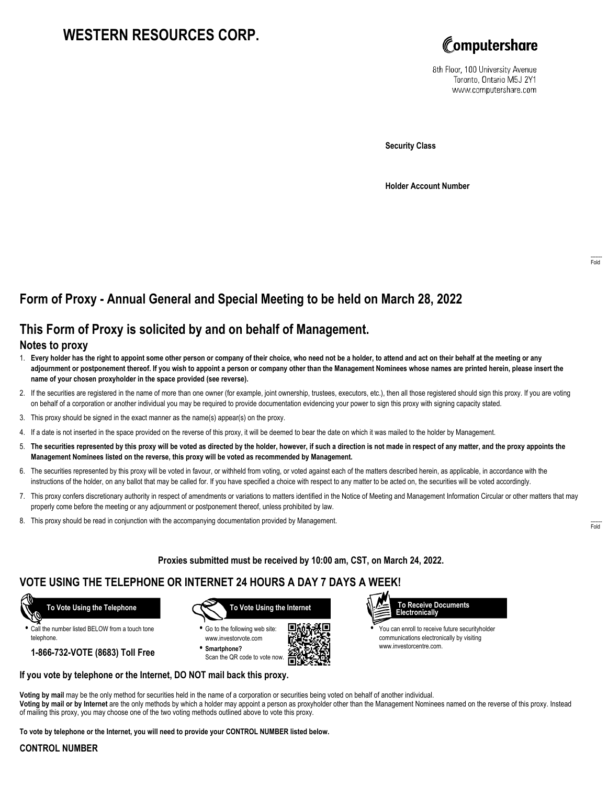# **WESTERN RESOURCES CORP.**



8th Floor, 100 University Avenue Toronto, Ontario M5J 2Y1 www.computershare.com

**Security Class**

**Holder Account Number**

# **Form of Proxy - Annual General and Special Meeting to be held on March 28, 2022**

## **This Form of Proxy is solicited by and on behalf of Management.**

### **Notes to proxy**

- 1. **Every holder has the right to appoint some other person or company of their choice, who need not be a holder, to attend and act on their behalf at the meeting or any adjournment or postponement thereof. If you wish to appoint a person or company other than the Management Nominees whose names are printed herein, please insert the name of your chosen proxyholder in the space provided (see reverse).**
- 2. If the securities are registered in the name of more than one owner (for example, joint ownership, trustees, executors, etc.), then all those registered should sign this proxy. If you are voting on behalf of a corporation or another individual you may be required to provide documentation evidencing your power to sign this proxy with signing capacity stated.
- 3. This proxy should be signed in the exact manner as the name(s) appear(s) on the proxy.
- 4. If a date is not inserted in the space provided on the reverse of this proxy, it will be deemed to bear the date on which it was mailed to the holder by Management.
- 5. **The securities represented by this proxy will be voted as directed by the holder, however, if such a direction is not made in respect of any matter, and the proxy appoints the Management Nominees listed on the reverse, this proxy will be voted as recommended by Management.**
- 6. The securities represented by this proxy will be voted in favour, or withheld from voting, or voted against each of the matters described herein, as applicable, in accordance with the instructions of the holder, on any ballot that may be called for. If you have specified a choice with respect to any matter to be acted on, the securities will be voted accordingly.
- 7. This proxy confers discretionary authority in respect of amendments or variations to matters identified in the Notice of Meeting and Management Information Circular or other matters that may properly come before the meeting or any adjournment or postponement thereof, unless prohibited by law.
- 8. This proxy should be read in conjunction with the accompanying documentation provided by Management.

**Proxies submitted must be received by 10:00 am, CST, on March 24, 2022.**

## **VOTE USING THE TELEPHONE OR INTERNET 24 HOURS A DAY 7 DAYS A WEEK!**



**•** Call the number listed BELOW from a touch tone telephone.

**1-866-732-VOTE (8683) Toll Free**



**•** Go to the following web site: www.investorvote.com **• Smartphone?**

Scan the QR code to vote now.





**•** You can enroll to receive future securityholder communications electronically by visiting www.investorcentre.com.

### **If you vote by telephone or the Internet, DO NOT mail back this proxy.**

**Voting by mail** may be the only method for securities held in the name of a corporation or securities being voted on behalf of another individual. **Voting by mail or by Internet** are the only methods by which a holder may appoint a person as proxyholder other than the Management Nominees named on the reverse of this proxy. Instead of mailing this proxy, you may choose one of the two voting methods outlined above to vote this proxy.

**To vote by telephone or the Internet, you will need to provide your CONTROL NUMBER listed below.**

#### **CONTROL NUMBER**